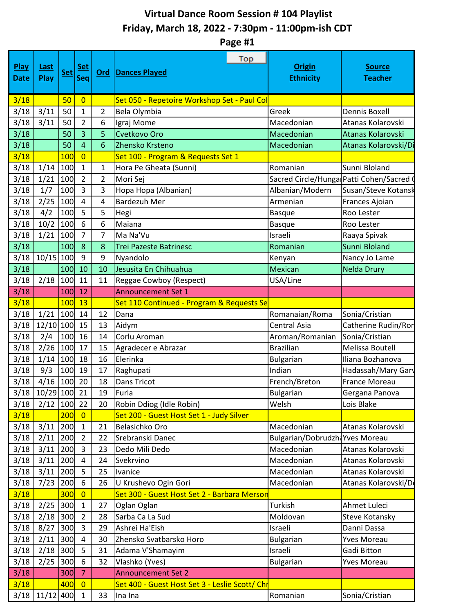## **Virtual Dance Room Session # 104 Playlist Friday, March 18, 2022 - 7:30pm - 11:00pm-ish CDT**

**Page #1**

| <b>Play</b><br><b>Date</b> | Last<br>Play | <b>Set</b> | <u>Set</u><br><b>Seq</b> | <u>Ord</u>     | Top<br><b>Dances Played</b>                    | <b>Origin</b><br><b>Ethnicity</b>      | <b>Source</b><br><b>Teacher</b> |
|----------------------------|--------------|------------|--------------------------|----------------|------------------------------------------------|----------------------------------------|---------------------------------|
| 3/18                       |              | 50         | $\overline{0}$           |                | Set 050 - Repetoire Workshop Set - Paul Col    |                                        |                                 |
| 3/18                       | 3/11         | 50         | 1                        | $\overline{2}$ | Bela Olymbia                                   | Greek                                  | Dennis Boxell                   |
| 3/18                       | 3/11         | 50         | $\overline{2}$           | 6              | Igraj Mome                                     | Macedonian                             | Atanas Kolarovski               |
| 3/18                       |              | 50         | 3                        | 5              | Cvetkovo Oro                                   | Macedonian                             | Atanas Kolarovski               |
| 3/18                       |              | 50         | 4                        | 6              | Zhensko Krsteno                                | Macedonian                             | Atanas Kolarovski/D             |
| 3/18                       |              | 100        | $\overline{0}$           |                | Set 100 - Program & Requests Set 1             |                                        |                                 |
| 3/18                       | 1/14         | 100        | 1                        | $\mathbf 1$    | Hora Pe Gheata (Sunni)                         | Romanian                               | Sunni Bloland                   |
| 3/18                       | 1/21         | 100        | $\overline{2}$           | $\overline{2}$ | Mori Sej                                       | Sacred Circle/Hunga Patti Cohen/Sacred |                                 |
| 3/18                       | 1/7          | 100        | 3                        | 3              | Hopa Hopa (Albanian)                           | Albanian/Modern                        | Susan/Steve Kotansk             |
| 3/18                       | 2/25         | 100        | $\overline{4}$           | $\overline{4}$ | <b>Bardezuh Mer</b>                            | Armenian                               | Frances Ajoian                  |
| 3/18                       | 4/2          | 100        | 5                        | 5              | Hegi                                           | <b>Basque</b>                          | Roo Lester                      |
| 3/18                       | 10/2         | 100        | 6                        | 6              | Maiana                                         | <b>Basque</b>                          | Roo Lester                      |
| 3/18                       | 1/21         | 100        | $\overline{7}$           | 7              | Ma Na'Vu                                       | Israeli                                | Raaya Spivak                    |
| 3/18                       |              | 100        | 8                        | 8              | <b>Trei Pazeste Batrinesc</b>                  | Romanian                               | Sunni Bloland                   |
| 3/18                       | $10/15$ 100  |            | 9                        | 9              | Nyandolo                                       | Kenyan                                 | Nancy Jo Lame                   |
| 3/18                       |              | 100        | 10                       | 10             | Jesusita En Chihuahua                          | <b>Mexican</b>                         | <b>Nelda Drury</b>              |
| 3/18                       | 2/18         | 100        | 11                       | 11             | Reggae Cowboy (Respect)                        | USA/Line                               |                                 |
| 3/18                       |              | 100        | 12                       |                | <b>Announcement Set 1</b>                      |                                        |                                 |
| 3/18                       |              | 100        | 13                       |                | Set 110 Continued - Program & Requests Se      |                                        |                                 |
| 3/18                       | $1/21$ 100   |            | 14                       | 12             | Dana                                           | Romanaian/Roma                         | Sonia/Cristian                  |
| 3/18                       | 12/10 100    |            | 15                       | 13             | Aidym                                          | <b>Central Asia</b>                    | Catherine Rudin/Ror             |
| 3/18                       | 2/4          | 100        | 16                       | 14             | Corlu Aroman                                   | Aroman/Romanian                        | Sonia/Cristian                  |
| 3/18                       | 2/26         | 100        | 17                       | 15             | Agradecer e Abrazar                            | <b>Brazilian</b>                       | Melissa Boutell                 |
| 3/18                       | 1/14         | 100        | 18                       | 16             | Elerinka                                       | <b>Bulgarian</b>                       | Iliana Bozhanova                |
| 3/18                       | 9/3          | 100        | 19                       | 17             | Raghupati                                      | Indian                                 | Hadassah/Mary Gary              |
| 3/18                       | $4/16$ 100   |            | 20                       | 18             | Dans Tricot                                    | French/Breton                          | <b>France Moreau</b>            |
| 3/18                       | $10/29$ 100  |            | 21                       | 19             | Furla                                          | <b>Bulgarian</b>                       | Gergana Panova                  |
| 3/18                       | $2/12$ 100   |            | 22                       | 20             | Robin Ddiog (Idle Robin)                       | Welsh                                  | Lois Blake                      |
| 3/18                       |              | 200        | $\overline{0}$           |                | Set 200 - Guest Host Set 1 - Judy Silver       |                                        |                                 |
| 3/18                       | 3/11         | 200        | $\mathbf{1}$             | 21             | Belasichko Oro                                 | Macedonian                             | Atanas Kolarovski               |
| 3/18                       | $2/11$ 200   |            | $\overline{2}$           | 22             | Srebranski Danec                               | Bulgarian/Dobrudzh: Yves Moreau        |                                 |
| 3/18                       | $3/11$ 200   |            | 3                        | 23             | Dedo Mili Dedo                                 | Macedonian                             | Atanas Kolarovski               |
| 3/18                       | 3/11         | 200        | $\overline{4}$           | 24             | Svekrvino                                      | Macedonian                             | Atanas Kolarovski               |
| 3/18                       | $3/11$ 200   |            | 5                        | 25             | Ivanice                                        | Macedonian                             | Atanas Kolarovski               |
| 3/18                       | 7/23         | 200        | 6                        | 26             | U Krushevo Ogin Gori                           | Macedonian                             | Atanas Kolarovski/D             |
| 3/18                       |              | 300        | $\overline{0}$           |                | Set 300 - Guest Host Set 2 - Barbara Merson    |                                        |                                 |
| 3/18                       | $2/25$ 300   |            | $\mathbf{1}$             | 27             | Oglan Oglan                                    | Turkish                                | Ahmet Luleci                    |
| 3/18                       | $2/18$ 300   |            | $\overline{2}$           | 28             | Sarba Ca La Sud                                | Moldovan                               | Steve Kotansky                  |
| 3/18                       | 8/27         | 300        | 3                        | 29             | Ashrei Ha'Eish                                 | Israeli                                | Danni Dassa                     |
| 3/18                       | 2/11         | 300        | 4                        | 30             | Zhensko Svatbarsko Horo                        | <b>Bulgarian</b>                       | <b>Yves Moreau</b>              |
| 3/18                       | $2/18$ 300   |            | 5                        | 31             | Adama V'Shamayim                               | Israeli                                | Gadi Bitton                     |
| 3/18                       | 2/25         | 300        | 6                        | 32             | Vlashko (Yves)                                 | <b>Bulgarian</b>                       | Yves Moreau                     |
| 3/18                       |              | 300        | $\overline{7}$           |                | <b>Announcement Set 2</b>                      |                                        |                                 |
| 3/18                       |              | 400        | $\overline{0}$           |                | Set 400 - Guest Host Set 3 - Leslie Scott/ Chr |                                        |                                 |
| 3/18                       | 11/12 400    |            | $\mathbf{1}$             | 33             | Ina Ina                                        | Romanian                               | Sonia/Cristian                  |